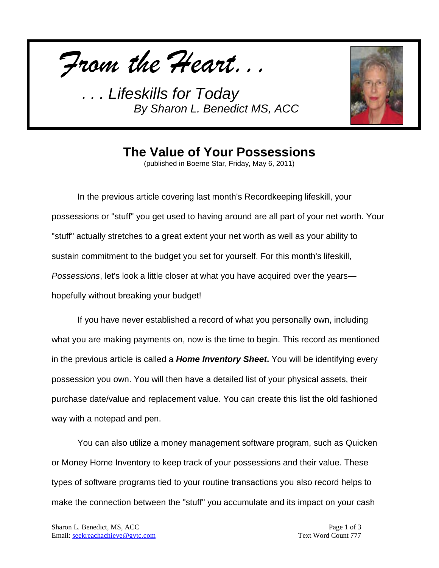*From the Heart...*



## **The Value of Your Possessions**

(published in Boerne Star, Friday, May 6, 2011)

In the previous article covering last month's Recordkeeping lifeskill, your possessions or "stuff" you get used to having around are all part of your net worth. Your "stuff" actually stretches to a great extent your net worth as well as your ability to sustain commitment to the budget you set for yourself. For this month's lifeskill, *Possessions*, let's look a little closer at what you have acquired over the years hopefully without breaking your budget!

If you have never established a record of what you personally own, including what you are making payments on, now is the time to begin. This record as mentioned in the previous article is called a *Home Inventory Sheet***.** You will be identifying every possession you own. You will then have a detailed list of your physical assets, their purchase date/value and replacement value. You can create this list the old fashioned way with a notepad and pen.

You can also utilize a money management software program, such as Quicken or Money Home Inventory to keep track of your possessions and their value. These types of software programs tied to your routine transactions you also record helps to make the connection between the "stuff" you accumulate and its impact on your cash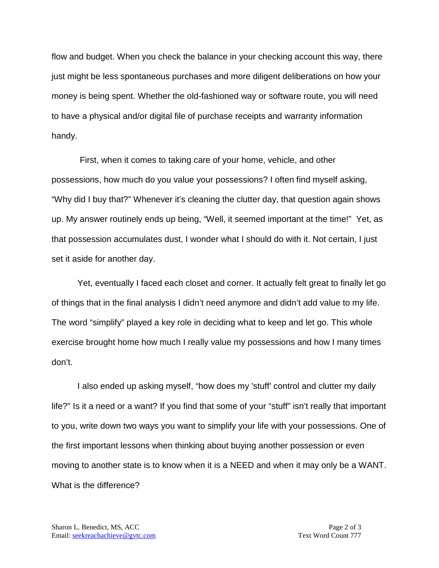flow and budget. When you check the balance in your checking account this way, there just might be less spontaneous purchases and more diligent deliberations on how your money is being spent. Whether the old-fashioned way or software route, you will need to have a physical and/or digital file of purchase receipts and warranty information handy.

First, when it comes to taking care of your home, vehicle, and other possessions, how much do you value your possessions? I often find myself asking, "Why did I buy that?" Whenever it's cleaning the clutter day, that question again shows up. My answer routinely ends up being, "Well, it seemed important at the time!" Yet, as that possession accumulates dust, I wonder what I should do with it. Not certain, I just set it aside for another day.

Yet, eventually I faced each closet and corner. It actually felt great to finally let go of things that in the final analysis I didn't need anymore and didn't add value to my life. The word "simplify" played a key role in deciding what to keep and let go. This whole exercise brought home how much I really value my possessions and how I many times don't.

I also ended up asking myself, "how does my 'stuff' control and clutter my daily life?" Is it a need or a want? If you find that some of your "stuff" isn't really that important to you, write down two ways you want to simplify your life with your possessions. One of the first important lessons when thinking about buying another possession or even moving to another state is to know when it is a NEED and when it may only be a WANT. What is the difference?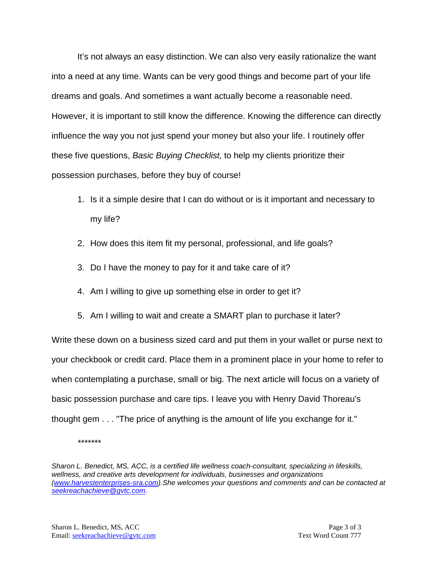It's not always an easy distinction. We can also very easily rationalize the want into a need at any time. Wants can be very good things and become part of your life dreams and goals. And sometimes a want actually become a reasonable need. However, it is important to still know the difference. Knowing the difference can directly influence the way you not just spend your money but also your life. I routinely offer these five questions, *Basic Buying Checklist,* to help my clients prioritize their possession purchases, before they buy of course!

- 1. Is it a simple desire that I can do without or is it important and necessary to my life?
- 2. How does this item fit my personal, professional, and life goals?
- 3. Do I have the money to pay for it and take care of it?
- 4. Am I willing to give up something else in order to get it?
- 5. Am I willing to wait and create a SMART plan to purchase it later?

Write these down on a business sized card and put them in your wallet or purse next to your checkbook or credit card. Place them in a prominent place in your home to refer to when contemplating a purchase, small or big. The next article will focus on a variety of basic possession purchase and care tips. I leave you with Henry David Thoreau's thought gem . . . "The price of anything is the amount of life you exchange for it."

*\*\*\*\*\*\*\**

*Sharon L. Benedict, MS, ACC, is a certified life wellness coach-consultant, specializing in lifeskills, wellness, and creative arts development for individuals, businesses and organizations [\(www.harvestenterprises-sra.com\)](http://www.harvestenterprises-sra.com/).She welcomes your questions and comments and can be contacted at [seekreachachieve@gvtc.com.](mailto:seekreachachieve@gvtc.com)*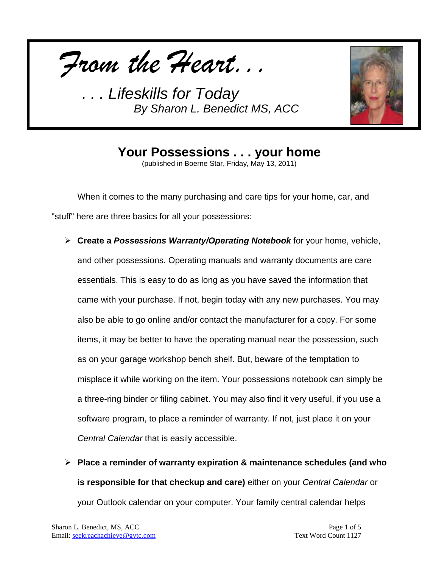*From the Heart...*



**Your Possessions . . . your home** (published in Boerne Star, Friday, May 13, 2011)

When it comes to the many purchasing and care tips for your home, car, and "stuff" here are three basics for all your possessions:

- **Create a** *Possessions Warranty/Operating Notebook* for your home, vehicle, and other possessions. Operating manuals and warranty documents are care essentials. This is easy to do as long as you have saved the information that came with your purchase. If not, begin today with any new purchases. You may also be able to go online and/or contact the manufacturer for a copy. For some items, it may be better to have the operating manual near the possession, such as on your garage workshop bench shelf. But, beware of the temptation to misplace it while working on the item. Your possessions notebook can simply be a three-ring binder or filing cabinet. You may also find it very useful, if you use a software program, to place a reminder of warranty. If not, just place it on your *Central Calendar* that is easily accessible.
- **Place a reminder of warranty expiration & maintenance schedules (and who is responsible for that checkup and care)** either on your *Central Calendar* or your Outlook calendar on your computer. Your family central calendar helps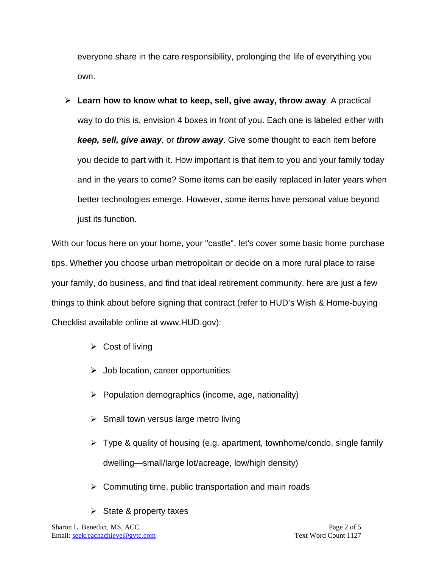everyone share in the care responsibility, prolonging the life of everything you own.

 **Learn how to know what to keep, sell, give away, throw away**. A practical way to do this is, envision 4 boxes in front of you. Each one is labeled either with *keep, sell, give away*, or *throw away*. Give some thought to each item before you decide to part with it. How important is that item to you and your family today and in the years to come? Some items can be easily replaced in later years when better technologies emerge. However, some items have personal value beyond just its function.

With our focus here on your home, your "castle", let's cover some basic home purchase tips. Whether you choose urban metropolitan or decide on a more rural place to raise your family, do business, and find that ideal retirement community, here are just a few things to think about before signing that contract (refer to HUD's Wish & Home-buying Checklist available online at www.HUD.gov):

- $\triangleright$  Cost of living
- $\triangleright$  Job location, career opportunities
- $\triangleright$  Population demographics (income, age, nationality)
- $\triangleright$  Small town versus large metro living
- $\triangleright$  Type & quality of housing (e.g. apartment, townhome/condo, single family dwelling—small/large lot/acreage, low/high density)
- $\triangleright$  Commuting time, public transportation and main roads
- $\triangleright$  State & property taxes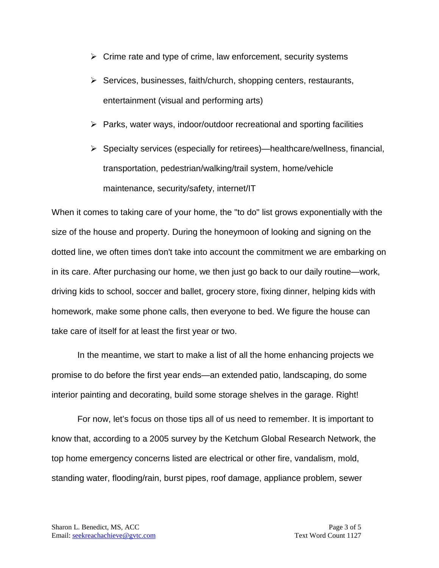- $\triangleright$  Crime rate and type of crime, law enforcement, security systems
- $\triangleright$  Services, businesses, faith/church, shopping centers, restaurants, entertainment (visual and performing arts)
- $\triangleright$  Parks, water ways, indoor/outdoor recreational and sporting facilities
- $\triangleright$  Specialty services (especially for retirees)—healthcare/wellness, financial, transportation, pedestrian/walking/trail system, home/vehicle maintenance, security/safety, internet/IT

When it comes to taking care of your home, the "to do" list grows exponentially with the size of the house and property. During the honeymoon of looking and signing on the dotted line, we often times don't take into account the commitment we are embarking on in its care. After purchasing our home, we then just go back to our daily routine—work, driving kids to school, soccer and ballet, grocery store, fixing dinner, helping kids with homework, make some phone calls, then everyone to bed. We figure the house can take care of itself for at least the first year or two.

In the meantime, we start to make a list of all the home enhancing projects we promise to do before the first year ends—an extended patio, landscaping, do some interior painting and decorating, build some storage shelves in the garage. Right!

For now, let's focus on those tips all of us need to remember. It is important to know that, according to a 2005 survey by the Ketchum Global Research Network, the top home emergency concerns listed are electrical or other fire, vandalism, mold, standing water, flooding/rain, burst pipes, roof damage, appliance problem, sewer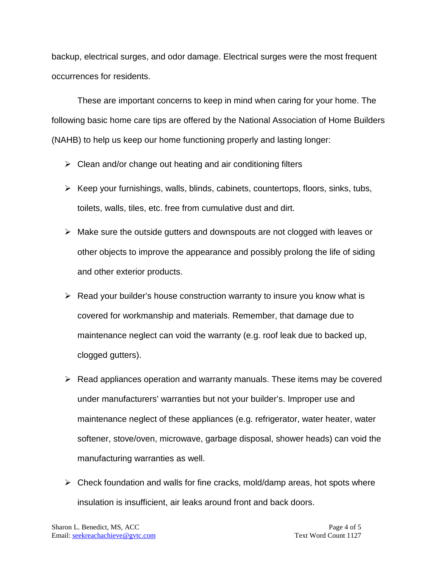backup, electrical surges, and odor damage. Electrical surges were the most frequent occurrences for residents.

These are important concerns to keep in mind when caring for your home. The following basic home care tips are offered by the National Association of Home Builders (NAHB) to help us keep our home functioning properly and lasting longer:

- $\triangleright$  Clean and/or change out heating and air conditioning filters
- $\triangleright$  Keep your furnishings, walls, blinds, cabinets, countertops, floors, sinks, tubs, toilets, walls, tiles, etc. free from cumulative dust and dirt.
- $\triangleright$  Make sure the outside gutters and downspouts are not clogged with leaves or other objects to improve the appearance and possibly prolong the life of siding and other exterior products.
- $\triangleright$  Read your builder's house construction warranty to insure you know what is covered for workmanship and materials. Remember, that damage due to maintenance neglect can void the warranty (e.g. roof leak due to backed up, clogged gutters).
- $\triangleright$  Read appliances operation and warranty manuals. These items may be covered under manufacturers' warranties but not your builder's. Improper use and maintenance neglect of these appliances (e.g. refrigerator, water heater, water softener, stove/oven, microwave, garbage disposal, shower heads) can void the manufacturing warranties as well.
- $\triangleright$  Check foundation and walls for fine cracks, mold/damp areas, hot spots where insulation is insufficient, air leaks around front and back doors.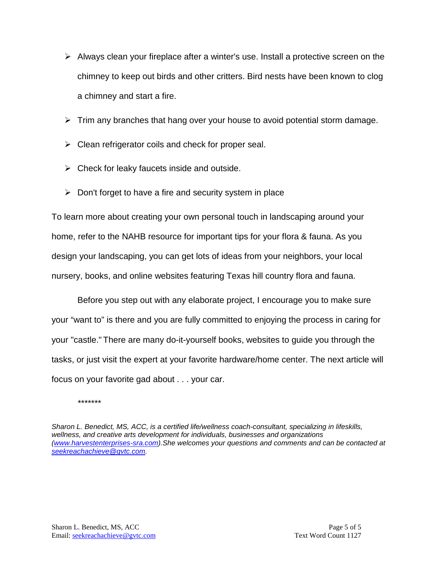- $\triangleright$  Always clean your fireplace after a winter's use. Install a protective screen on the chimney to keep out birds and other critters. Bird nests have been known to clog a chimney and start a fire.
- $\triangleright$  Trim any branches that hang over your house to avoid potential storm damage.
- $\triangleright$  Clean refrigerator coils and check for proper seal.
- $\triangleright$  Check for leaky faucets inside and outside.
- $\triangleright$  Don't forget to have a fire and security system in place

To learn more about creating your own personal touch in landscaping around your home, refer to the NAHB resource for important tips for your flora & fauna. As you design your landscaping, you can get lots of ideas from your neighbors, your local nursery, books, and online websites featuring Texas hill country flora and fauna.

Before you step out with any elaborate project, I encourage you to make sure your "want to" is there and you are fully committed to enjoying the process in caring for your "castle." There are many do-it-yourself books, websites to guide you through the tasks, or just visit the expert at your favorite hardware/home center. The next article will focus on your favorite gad about . . . your car.

*\*\*\*\*\*\*\**

*Sharon L. Benedict, MS, ACC, is a certified life/wellness coach-consultant, specializing in lifeskills, wellness, and creative arts development for individuals, businesses and organizations [\(www.harvestenterprises-sra.com\)](http://www.harvestenterprises-sra.com/).She welcomes your questions and comments and can be contacted at [seekreachachieve@gvtc.com.](mailto:seekreachachieve@gvtc.com)*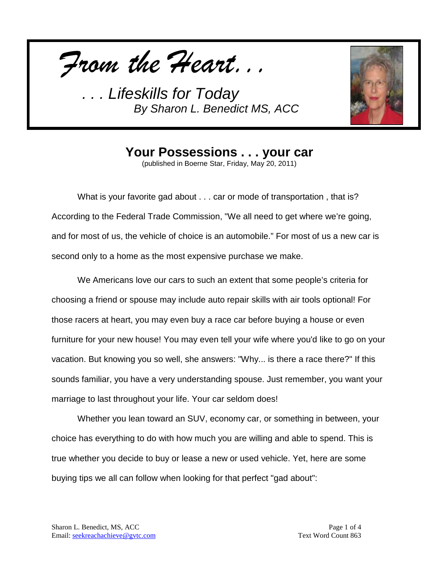*From the Heart...*



**Your Possessions . . . your car**

(published in Boerne Star, Friday, May 20, 2011)

What is your favorite gad about . . . car or mode of transportation , that is? According to the Federal Trade Commission, "We all need to get where we're going, and for most of us, the vehicle of choice is an automobile." For most of us a new car is second only to a home as the most expensive purchase we make.

We Americans love our cars to such an extent that some people's criteria for choosing a friend or spouse may include auto repair skills with air tools optional! For those racers at heart, you may even buy a race car before buying a house or even furniture for your new house! You may even tell your wife where you'd like to go on your vacation. But knowing you so well, she answers: "Why... is there a race there?" If this sounds familiar, you have a very understanding spouse. Just remember, you want your marriage to last throughout your life. Your car seldom does!

Whether you lean toward an SUV, economy car, or something in between, your choice has everything to do with how much you are willing and able to spend. This is true whether you decide to buy or lease a new or used vehicle. Yet, here are some buying tips we all can follow when looking for that perfect "gad about":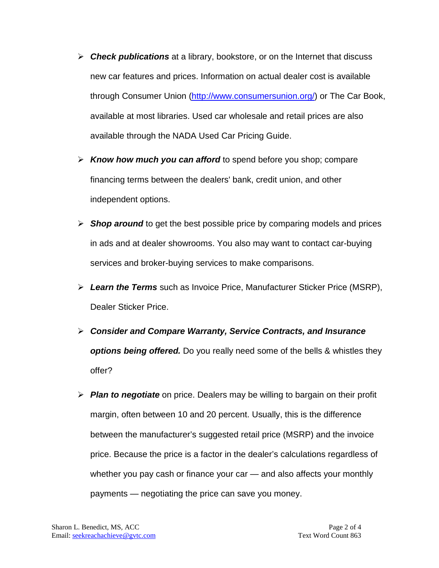- *Check publications* at a library, bookstore, or on the Internet that discuss new car features and prices. Information on actual dealer cost is available through Consumer Union [\(http://www.consumersunion.org/\)](http://www.consumersunion.org/) or The Car Book, available at most libraries. Used car wholesale and retail prices are also available through the NADA Used Car Pricing Guide.
- *Know how much you can afford* to spend before you shop; compare financing terms between the dealers' bank, credit union, and other independent options.
- **Shop around** to get the best possible price by comparing models and prices in ads and at dealer showrooms. You also may want to contact car-buying services and broker-buying services to make comparisons.
- *Learn the Terms* such as Invoice Price, Manufacturer Sticker Price (MSRP), Dealer Sticker Price.
- *Consider and Compare Warranty, Service Contracts, and Insurance options being offered.* Do you really need some of the bells & whistles they offer?
- *Plan to negotiate* on price. Dealers may be willing to bargain on their profit margin, often between 10 and 20 percent. Usually, this is the difference between the manufacturer's suggested retail price (MSRP) and the invoice price. Because the price is a factor in the dealer's calculations regardless of whether you pay cash or finance your car — and also affects your monthly payments — negotiating the price can save you money.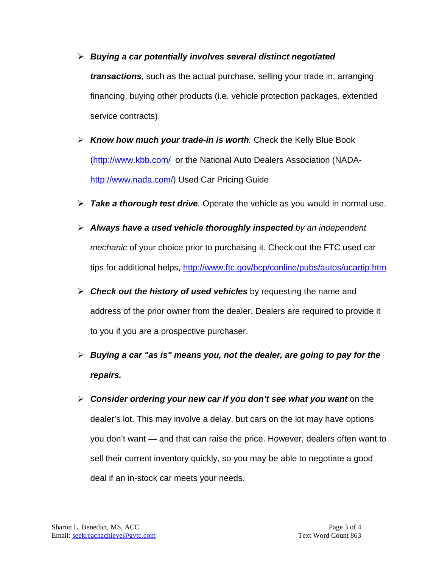- *Buying a car potentially involves several distinct negotiated transactions,* such as the actual purchase, selling your trade in, arranging financing, buying other products (i.e. vehicle protection packages, extended service contracts).
- *Know how much your trade-in is worth.* Check the Kelly Blue Book [\(http://www.kbb.com/](http://www.kbb.com/) or the National Auto Dealers Association (NADA[http://www.nada.com/\)](http://www.nada.com/) Used Car Pricing Guide
- *Take a thorough test drive.* Operate the vehicle as you would in normal use.
- *Always have a used vehicle thoroughly inspected by an independent mechanic* of your choice prior to purchasing it. Check out the FTC used car tips for additional helps,<http://www.ftc.gov/bcp/conline/pubs/autos/ucartip.htm>
- *Check out the history of used vehicles* by requesting the name and address of the prior owner from the dealer. Dealers are required to provide it to you if you are a prospective purchaser.
- *Buying a car "as is" means you, not the dealer, are going to pay for the repairs.*
- *Consider ordering your new car if you don't see what you want* on the dealer's lot. This may involve a delay, but cars on the lot may have options you don't want — and that can raise the price. However, dealers often want to sell their current inventory quickly, so you may be able to negotiate a good deal if an in-stock car meets your needs.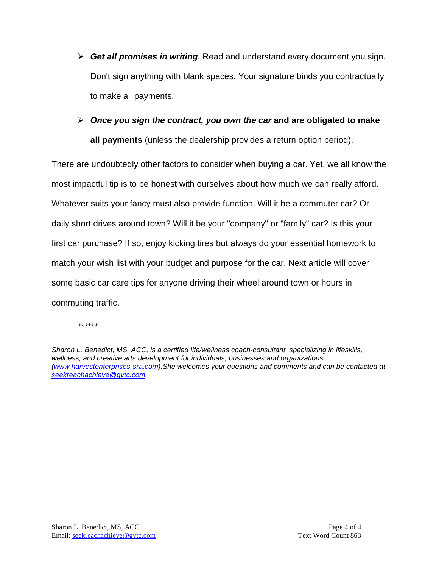- *Get all promises in writing.* Read and understand every document you sign. Don't sign anything with blank spaces. Your signature binds you contractually to make all payments.
- *Once you sign the contract, you own the car* **and are obligated to make all payments** (unless the dealership provides a return option period).

There are undoubtedly other factors to consider when buying a car. Yet, we all know the most impactful tip is to be honest with ourselves about how much we can really afford. Whatever suits your fancy must also provide function. Will it be a commuter car? Or daily short drives around town? Will it be your "company" or "family" car? Is this your first car purchase? If so, enjoy kicking tires but always do your essential homework to match your wish list with your budget and purpose for the car. Next article will cover some basic car care tips for anyone driving their wheel around town or hours in commuting traffic.

*\*\*\*\*\*\**

*Sharon L. Benedict, MS, ACC, is a certified life/wellness coach-consultant, specializing in lifeskills, wellness, and creative arts development for individuals, businesses and organizations [\(www.harvestenterprises-sra.com\)](http://www.harvestenterprises-sra.com/).She welcomes your questions and comments and can be contacted at [seekreachachieve@gvtc.com.](mailto:seekreachachieve@gvtc.com)*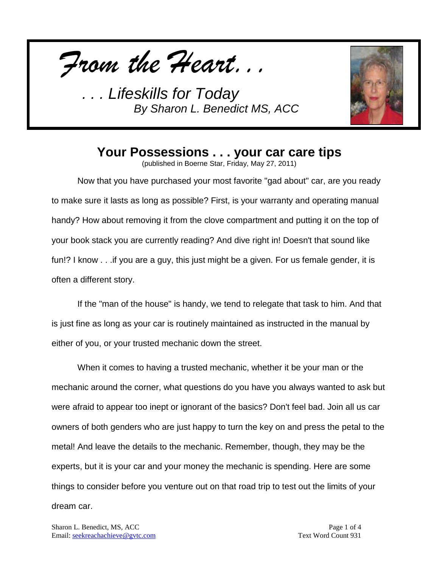*From the Heart...*



## **Your Possessions . . . your car care tips**

(published in Boerne Star, Friday, May 27, 2011)

Now that you have purchased your most favorite "gad about" car, are you ready to make sure it lasts as long as possible? First, is your warranty and operating manual handy? How about removing it from the clove compartment and putting it on the top of your book stack you are currently reading? And dive right in! Doesn't that sound like fun!? I know . . .if you are a guy, this just might be a given. For us female gender, it is often a different story.

If the "man of the house" is handy, we tend to relegate that task to him. And that is just fine as long as your car is routinely maintained as instructed in the manual by either of you, or your trusted mechanic down the street.

When it comes to having a trusted mechanic, whether it be your man or the mechanic around the corner, what questions do you have you always wanted to ask but were afraid to appear too inept or ignorant of the basics? Don't feel bad. Join all us car owners of both genders who are just happy to turn the key on and press the petal to the metal! And leave the details to the mechanic. Remember, though, they may be the experts, but it is your car and your money the mechanic is spending. Here are some things to consider before you venture out on that road trip to test out the limits of your dream car.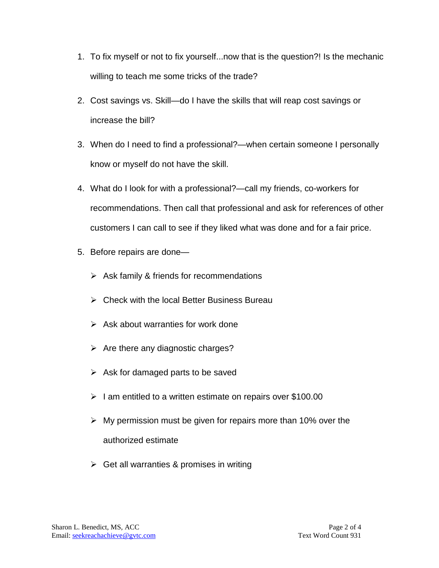- 1. To fix myself or not to fix yourself...now that is the question?! Is the mechanic willing to teach me some tricks of the trade?
- 2. Cost savings vs. Skill—do I have the skills that will reap cost savings or increase the bill?
- 3. When do I need to find a professional?—when certain someone I personally know or myself do not have the skill.
- 4. What do I look for with a professional?—call my friends, co-workers for recommendations. Then call that professional and ask for references of other customers I can call to see if they liked what was done and for a fair price.
- 5. Before repairs are done—
	- $\triangleright$  Ask family & friends for recommendations
	- $\triangleright$  Check with the local Better Business Bureau
	- $\triangleright$  Ask about warranties for work done
	- $\triangleright$  Are there any diagnostic charges?
	- $\triangleright$  Ask for damaged parts to be saved
	- $\geq$  1 am entitled to a written estimate on repairs over \$100.00
	- $\triangleright$  My permission must be given for repairs more than 10% over the authorized estimate
	- $\triangleright$  Get all warranties & promises in writing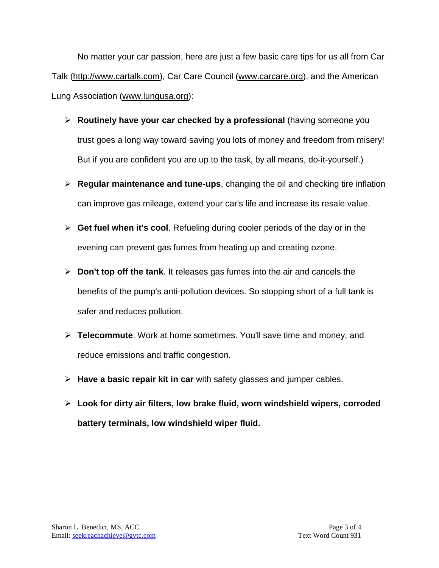No matter your car passion, here are just a few basic care tips for us all from Car Talk [\(http://www.cartalk.com\)](http://www.cartalk.com/), Car Care Council [\(www.carcare.org\)](http://www.carcare.org/), and the American Lung Association [\(www.lungusa.org\)](http://www.lungusa.org/):

- **Routinely have your car checked by a professional** (having someone you trust goes a long way toward saving you lots of money and freedom from misery! But if you are confident you are up to the task, by all means, do-it-yourself.)
- **Regular maintenance and tune-ups**, changing the oil and checking tire inflation can improve gas mileage, extend your car's life and increase its resale value.
- **Get fuel when it's cool**. Refueling during cooler periods of the day or in the evening can prevent gas fumes from heating up and creating ozone.
- **Don't top off the tank**. It releases gas fumes into the air and cancels the benefits of the pump's anti-pollution devices. So stopping short of a full tank is safer and reduces pollution.
- **Telecommute**. Work at home sometimes. You'll save time and money, and reduce emissions and traffic congestion.
- **Have a basic repair kit in car** with safety glasses and jumper cables.
- **Look for dirty air filters, low brake fluid, worn windshield wipers, corroded battery terminals, low windshield wiper fluid.**